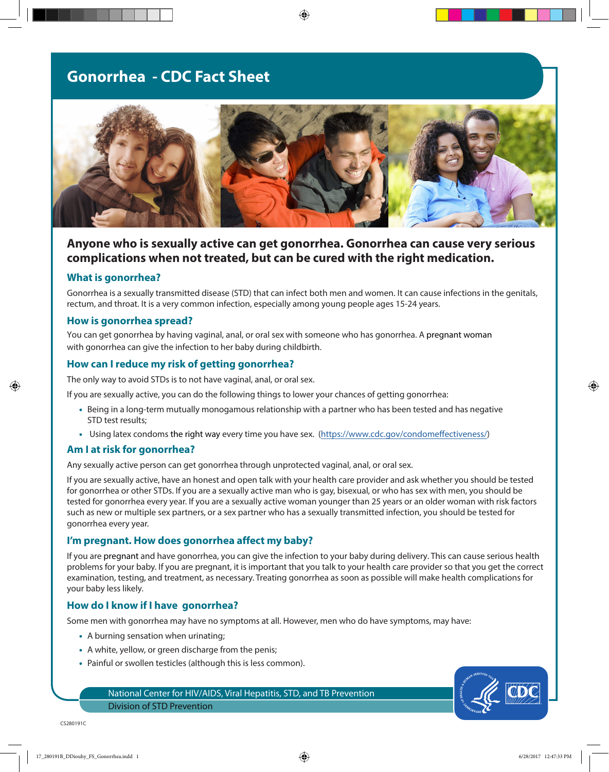# **Gonorrhea - CDC Fact Sheet**



⊕

# **Anyone who is sexually active can get gonorrhea. Gonorrhea can cause very serious complications when not treated, but can be cured with the right medication.**

## **What is gonorrhea?**

⊕

Gonorrhea is a sexually transmitted disease (STD) that can infect both men and women. It can cause infections in the genitals, rectum, and throat. It is a very common infection, especially among young people ages 15-24 years.

#### **How is gonorrhea spread?**

You can get gonorrhea by having vaginal, anal, or oral sex with someone who has gonorrhea. A pregnant woman with gonorrhea can give the infection to her baby during childbirth.

## **How can I reduce my risk of getting gonorrhea?**

The only way to avoid STDs is to not have vaginal, anal, or oral sex.

If you are sexually active, you can do the following things to lower your chances of getting gonorrhea:

- Being in a long-term mutually monogamous relationship with a partner who has been tested and has negative STD test results;
- Using latex condoms the right way every time you have sex. [\(https://www.cdc.gov/condomeffectiveness/\)](https://www.cdc.gov/condomeffectiveness/)

#### **Am I at risk for gonorrhea?**

Any sexually active person can get gonorrhea through unprotected vaginal, anal, or oral sex.

If you are sexually active, have an honest and open talk with your health care provider and ask whether you should be tested for gonorrhea or other STDs. If you are a sexually active man who is gay, bisexual, or who has sex with men, you should be tested for gonorrhea every year. If you are a sexually active woman younger than 25 years or an older woman with risk factors such as new or multiple sex partners, or a sex partner who has a sexually transmitted infection, you should be tested for gonorrhea every year.

## **I'm pregnant. How does gonorrhea affect my baby?**

If you are pregnant and have gonorrhea, you can give the infection to your baby during delivery. This can cause serious health problems for your baby. If you are pregnant, it is important that you talk to your health care provider so that you get the correct examination, testing, and treatment, as necessary. Treating gonorrhea as soon as possible will make health complications for your baby less likely.

## **How do I know if I have gonorrhea?**

Some men with gonorrhea may have no symptoms at all. However, men who do have symptoms, may have:

- A burning sensation when urinating;
- A white, yellow, or green discharge from the penis;
- Painful or swollen testicles (although this is less common).

## National Center for HIV/AIDS, Viral Hepatitis, STD, and TB Prevention

Division of STD Prevention

CS280191C

⊕